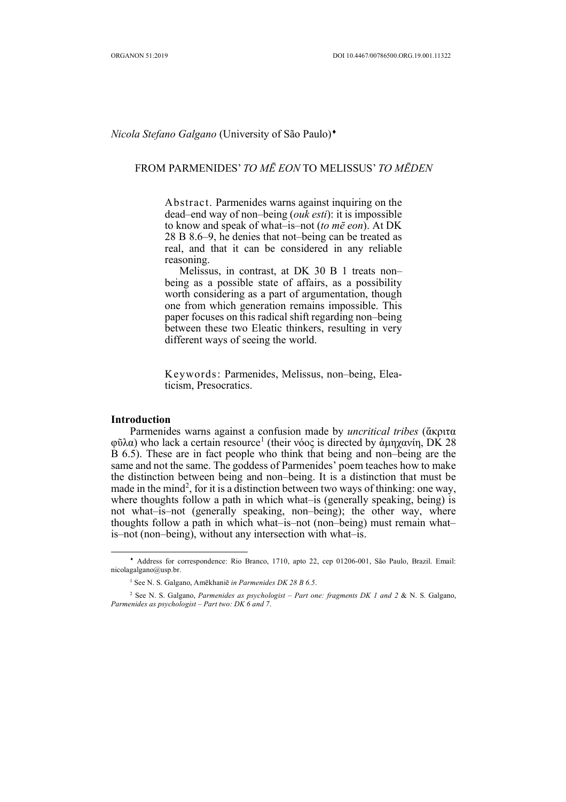# *Nicola Stefano Galgano* (University of São Paulo) ¨

## FROM PARMENIDES' *TO MĒ EON* TO MELISSUS' *TO MĒDEN*

Abstract. Parmenides warns against inquiring on the dead–end way of non–being (*ouk esti*): it is impossible to know and speak of what–is–not (*to mē eon*). At DK 28 B 8.6–9, he denies that not–being can be treated as real, and that it can be considered in any reliable reasoning.

Melissus, in contrast, at DK 30 B 1 treats non– being as a possible state of affairs, as a possibility worth considering as a part of argumentation, though one from which generation remains impossible. This paper focuses on this radical shift regarding non–being between these two Eleatic thinkers, resulting in very different ways of seeing the world.

Keywords: Parmenides, Melissus, non–being, Eleaticism, Presocratics.

### **Introduction**

 $\overline{a}$ 

Parmenides warns against a confusion made by *uncritical tribes* (ἄκριτα φῦλα) who lack a certain resource<sup>1</sup> (their νόος is directed by ἀμηχανίη, DK 28 B 6.5). These are in fact people who think that being and non–being are the same and not the same. The goddess of Parmenides' poem teaches how to make the distinction between being and non–being. It is a distinction that must be made in the mind<sup>2</sup>, for it is a distinction between two ways of thinking: one way, where thoughts follow a path in which what–is (generally speaking, being) is not what–is–not (generally speaking, non–being); the other way, where thoughts follow a path in which what–is–not (non–being) must remain what– is–not (non–being), without any intersection with what–is.

<sup>¨</sup> Address for correspondence: Rio Branco, 1710, apto 22, cep 01206-001, São Paulo, Brazil. Email: nicolagalgano@usp.br.

<sup>1</sup> See N. S. Galgano, Amēkhaniē *in Parmenides DK 28 B 6.5*.

<sup>2</sup> See N. S. Galgano, *Parmenides as psychologist – Part one: fragments DK 1 and 2* & N. S. Galgano, *Parmenides as psychologist – Part two: DK 6 and 7*.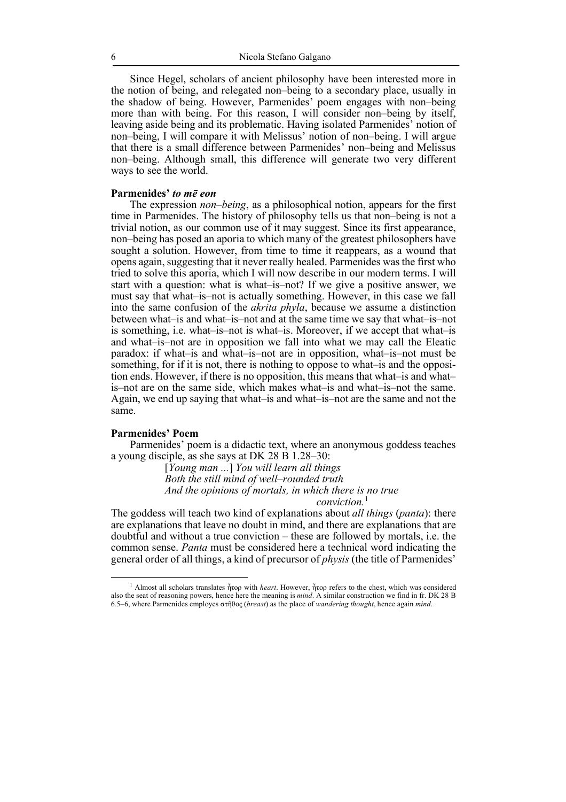Since Hegel, scholars of ancient philosophy have been interested more in the notion of being, and relegated non–being to a secondary place, usually in the shadow of being. However, Parmenides' poem engages with non–being more than with being. For this reason, I will consider non–being by itself, leaving aside being and its problematic. Having isolated Parmenides' notion of non–being, I will compare it with Melissus' notion of non–being. I will argue that there is a small difference between Parmenides' non–being and Melissus non–being. Although small, this difference will generate two very different ways to see the world.

### **Parmenides'** *to mē eon*

The expression *non–being*, as a philosophical notion, appears for the first time in Parmenides. The history of philosophy tells us that non–being is not a trivial notion, as our common use of it may suggest. Since its first appearance, non–being has posed an aporia to which many of the greatest philosophers have sought a solution. However, from time to time it reappears, as a wound that opens again, suggesting that it never really healed. Parmenides was the first who tried to solve this aporia, which I will now describe in our modern terms. I will start with a question: what is what–is–not? If we give a positive answer, we must say that what–is–not is actually something. However, in this case we fall into the same confusion of the *akrita phyla*, because we assume a distinction between what–is and what–is–not and at the same time we say that what–is–not is something, i.e. what–is–not is what–is. Moreover, if we accept that what–is and what–is–not are in opposition we fall into what we may call the Eleatic paradox: if what–is and what–is–not are in opposition, what–is–not must be something, for if it is not, there is nothing to oppose to what–is and the opposition ends. However, if there is no opposition, this means that what–is and what– is–not are on the same side, which makes what–is and what–is–not the same. Again, we end up saying that what–is and what–is–not are the same and not the same.

# **Parmenides' Poem**

Parmenides' poem is a didactic text, where an anonymous goddess teaches a young disciple, as she says at DK 28 B 1.28–30:

> [*Young man ...*] *You will learn all things Both the still mind of well–rounded truth And the opinions of mortals, in which there is no true conviction.*<sup>1</sup>

The goddess will teach two kind of explanations about *all things* (*panta*): there are explanations that leave no doubt in mind, and there are explanations that are doubtful and without a true conviction – these are followed by mortals, i.e. the common sense. *Panta* must be considered here a technical word indicating the general order of all things, a kind of precursor of *physis* (the title of Parmenides'

 <sup>1</sup> Almost all scholars translates ἦτορ with *heart*. However, ἦτορ refers to the chest, which was considered also the seat of reasoning powers, hence here the meaning is *mind*. A similar construction we find in fr. DK 28 B 6.5*–*6, where Parmenides employes στῆθος (*breast*) as the place of *wandering thought*, hence again *mind*.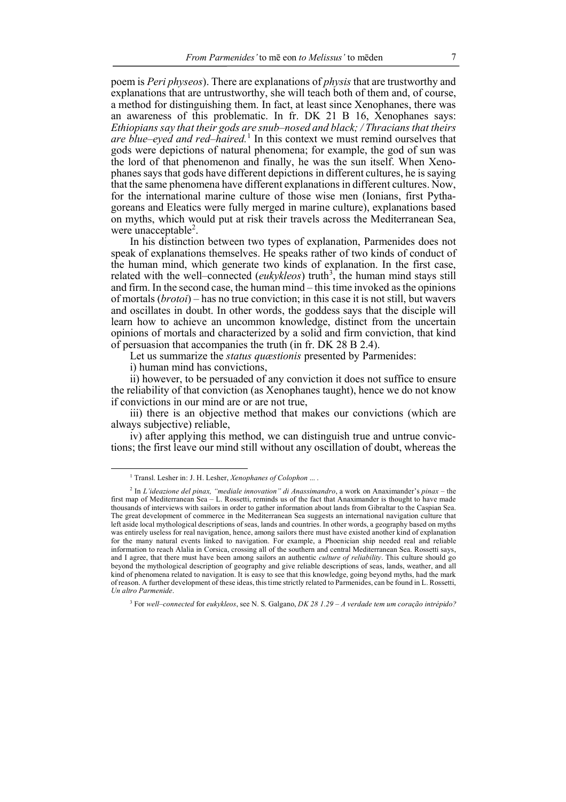poem is *Peri physeos*). There are explanations of *physis* that are trustworthy and explanations that are untrustworthy, she will teach both of them and, of course, a method for distinguishing them. In fact, at least since Xenophanes, there was an awareness of this problematic. In fr. DK 21 B 16, Xenophanes says: *Ethiopians say that their gods are snub–nosed and black; / Thracians that theirs are blue–eyed and red–haired.* <sup>1</sup> In this context we must remind ourselves that gods were depictions of natural phenomena; for example, the god of sun was the lord of that phenomenon and finally, he was the sun itself. When Xenophanes says that gods have different depictions in different cultures, he is saying that the same phenomena have different explanations in different cultures. Now, for the international marine culture of those wise men (Ionians, first Pythagoreans and Eleatics were fully merged in marine culture), explanations based on myths, which would put at risk their travels across the Mediterranean Sea, were unacceptable<sup>2</sup>.

In his distinction between two types of explanation, Parmenides does not speak of explanations themselves. He speaks rather of two kinds of conduct of the human mind, which generate two kinds of explanation. In the first case, related with the well–connected  $(eukykleos)$  truth<sup>3</sup>, the human mind stays still and firm. In the second case, the human mind – this time invoked as the opinions of mortals (*brotoi*) – has no true conviction; in this case it is not still, but wavers and oscillates in doubt. In other words, the goddess says that the disciple will learn how to achieve an uncommon knowledge, distinct from the uncertain opinions of mortals and characterized by a solid and firm conviction, that kind of persuasion that accompanies the truth (in fr. DK 28 B 2.4).

Let us summarize the *status quæstionis* presented by Parmenides:

i) human mind has convictions,

ii) however, to be persuaded of any conviction it does not suffice to ensure the reliability of that conviction (as Xenophanes taught), hence we do not know if convictions in our mind are or are not true,

iii) there is an objective method that makes our convictions (which are always subjective) reliable,

iv) after applying this method, we can distinguish true and untrue convictions; the first leave our mind still without any oscillation of doubt, whereas the

 <sup>1</sup> Transl. Lesher in: J. H. Lesher, *Xenophanes of Colophon* ... .

<sup>2</sup> In *L'ideazione del pinax, "mediale innovation" di Anassimandro*, a work on Anaximander's *pinax* – the first map of Mediterranean Sea – L. Rossetti, reminds us of the fact that Anaximander is thought to have made thousands of interviews with sailors in order to gather information about lands from Gibraltar to the Caspian Sea. The great development of commerce in the Mediterranean Sea suggests an international navigation culture that left aside local mythological descriptions of seas, lands and countries. In other words, a geography based on myths was entirely useless for real navigation, hence, among sailors there must have existed another kind of explanation for the many natural events linked to navigation. For example, a Phoenician ship needed real and reliable information to reach Alalia in Corsica, crossing all of the southern and central Mediterranean Sea. Rossetti says, and I agree, that there must have been among sailors an authentic *culture of reliability*. This culture should go beyond the mythological description of geography and give reliable descriptions of seas, lands, weather, and all kind of phenomena related to navigation. It is easy to see that this knowledge, going beyond myths, had the mark of reason. A further development of these ideas, this time strictly related to Parmenides, can be found in L. Rossetti, *Un altro Parmenide*.

<sup>3</sup> For *well–connected* for *eukykleos*, see N. S. Galgano, *DK 28 1.29 – A verdade tem um coração intrépido?*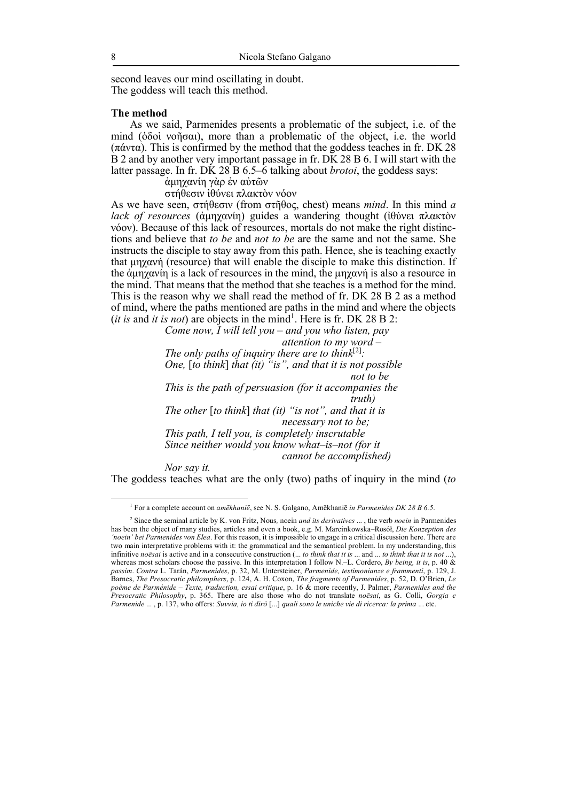second leaves our mind oscillating in doubt. The goddess will teach this method.

#### **The method**

As we said, Parmenides presents a problematic of the subject, i.e. of the mind (ὁδοὶ νοῆσαι), more than a problematic of the object, i.e. the world (πάντα). This is confirmed by the method that the goddess teaches in fr. DK 28 B 2 and by another very important passage in fr. DK 28 B 6. I will start with the latter passage. In fr. DK 28 B 6.5–6 talking about *brotoi*, the goddess says:

ἀµηχανίη γὰρ ἐν αὐτῶν

στήθεσιν ἰθύνει πλακτὸν νόον

As we have seen, στήθεσιν (from στῆθος, chest) means *mind*. In this mind *a lack of resources* (ἀµηχανίη) guides a wandering thought (ἰθύνει πλακτὸν νόον). Because of this lack of resources, mortals do not make the right distinctions and believe that *to be* and *not to be* are the same and not the same. She instructs the disciple to stay away from this path. Hence, she is teaching exactly that µηχανή (resource) that will enable the disciple to make this distinction. If the ἀµηχανίη is a lack of resources in the mind, the µηχανή is also a resource in the mind. That means that the method that she teaches is a method for the mind. This is the reason why we shall read the method of fr. DK 28 B 2 as a method of mind, where the paths mentioned are paths in the mind and where the objects (*it is* and *it is not*) are objects in the mind<sup>1</sup>. Here is fr. DK 28 B 2:

*Come now, I will tell you – and you who listen, pay* 

*attention to my word –*

The only paths of inquiry there are to think $[2]$ : *One,* [*to think*] *that (it) "is", and that it is not possible not to be This is the path of persuasion (for it accompanies the truth) The other* [*to think*] *that (it) "is not", and that it is necessary not to be; This path, I tell you, is completely inscrutable Since neither would you know what–is–not (for it cannot be accomplished)*

*Nor say it.*

The goddess teaches what are the only (two) paths of inquiry in the mind (*to* 

 <sup>1</sup> For a complete account on *amēkhaniē*, see N. S. Galgano, Amēkhani<sup>ē</sup> *in Parmenides DK 28 B 6.5*.

<sup>2</sup> Since the seminal article by K. von Fritz, Nous*,* noein *and its derivatives* ... , the verb *noein* in Parmenides has been the object of many studies, articles and even a book, e.g. M. Marcinkowska–Rosół, *Die Konzeption des 'noein' bei Parmenides von Elea*. For this reason, it is impossible to engage in a critical discussion here. There are two main interpretative problems with it: the grammatical and the semantical problem. In my understanding, this infinitive *noēsai* is active and in a consecutive construction (... *to think that it is* ... and ... *to think that it is not* ...), whereas most scholars choose the passive. In this interpretation I follow N.–L. Cordero, *By being, it is*, p. 40  $\&$ *passim*. *Contra* L. Tarán, *Parmenides*, p. 32, M. Untersteiner, *Parmenide, testimonianze e frammenti*, p. 129, J. Barnes, *The Presocratic philosophers*, p. 124, A. H. Coxon, *The fragments of Parmenides*, p. 52, D. O'Brien, *Le poème de Parménide – Texte, traduction, essai critique*, p. 16 & more recently, J. Palmer, *Parmenides and the Presocratic Philosophy*, p. 365. There are also those who do not translate *noēsai*, as G. Colli, *Gorgia e Parmenide* ... , p. 137, who offers: *Suvvia, io ti dirò* [...] *quali sono le uniche vie di ricerca: la prima* ... etc.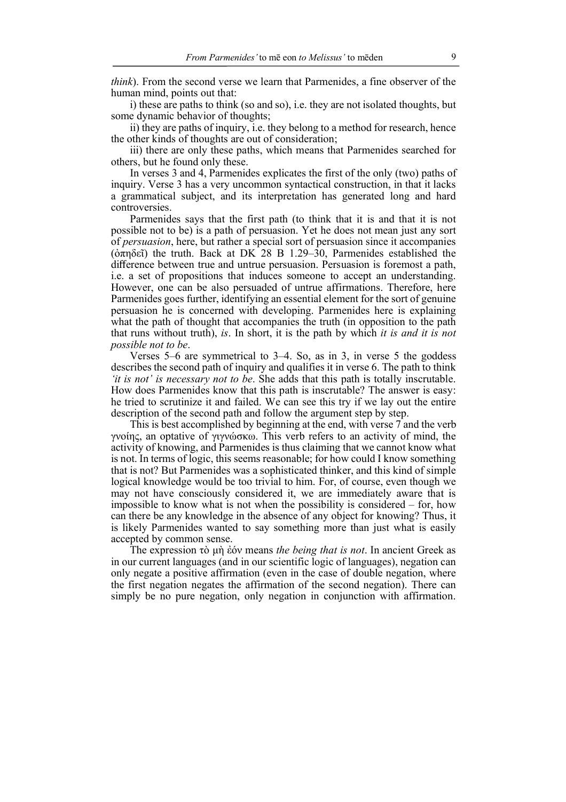*think*). From the second verse we learn that Parmenides, a fine observer of the human mind, points out that:

i) these are paths to think (so and so), i.e. they are not isolated thoughts, but some dynamic behavior of thoughts;

ii) they are paths of inquiry, i.e. they belong to a method for research, hence the other kinds of thoughts are out of consideration;

iii) there are only these paths, which means that Parmenides searched for others, but he found only these.

In verses 3 and 4, Parmenides explicates the first of the only (two) paths of inquiry. Verse 3 has a very uncommon syntactical construction, in that it lacks a grammatical subject, and its interpretation has generated long and hard controversies.

Parmenides says that the first path (to think that it is and that it is not possible not to be) is a path of persuasion. Yet he does not mean just any sort of *persuasion*, here, but rather a special sort of persuasion since it accompanies ( $\phi$ πηδεῖ) the truth. Back at DK 28 B 1.29–30, Parmenides established the difference between true and untrue persuasion. Persuasion is foremost a path, i.e. a set of propositions that induces someone to accept an understanding. However, one can be also persuaded of untrue affirmations. Therefore, here Parmenides goes further, identifying an essential element for the sort of genuine persuasion he is concerned with developing. Parmenides here is explaining what the path of thought that accompanies the truth (in opposition to the path that runs without truth), *is*. In short, it is the path by which *it is and it is not possible not to be*.

Verses 5–6 are symmetrical to 3–4. So, as in 3, in verse 5 the goddess describes the second path of inquiry and qualifies it in verse 6. The path to think *'it is not' is necessary not to be*. She adds that this path is totally inscrutable. How does Parmenides know that this path is inscrutable? The answer is easy: he tried to scrutinize it and failed. We can see this try if we lay out the entire description of the second path and follow the argument step by step.

This is best accomplished by beginning at the end, with verse 7 and the verb γνοίης, an optative of γιγνώσκω. This verb refers to an activity of mind, the activity of knowing, and Parmenides is thus claiming that we cannot know what is not. In terms of logic, this seems reasonable; for how could I know something that is not? But Parmenides was a sophisticated thinker, and this kind of simple logical knowledge would be too trivial to him. For, of course, even though we may not have consciously considered it, we are immediately aware that is impossible to know what is not when the possibility is considered – for, how can there be any knowledge in the absence of any object for knowing? Thus, it is likely Parmenides wanted to say something more than just what is easily accepted by common sense.

The expression τὸ µὴ ἐόν means *the being that is not*. In ancient Greek as in our current languages (and in our scientific logic of languages), negation can only negate a positive affirmation (even in the case of double negation, where the first negation negates the affirmation of the second negation). There can simply be no pure negation, only negation in conjunction with affirmation.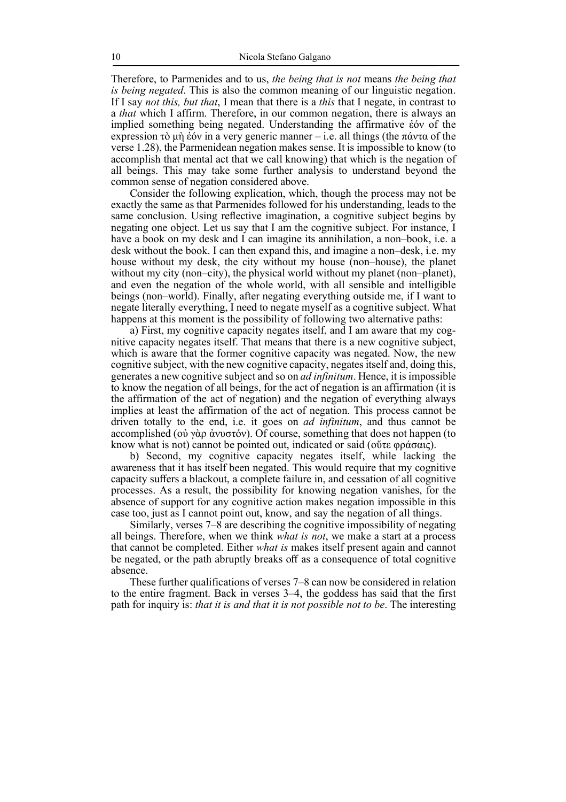Therefore, to Parmenides and to us, *the being that is not* means *the being that is being negated*. This is also the common meaning of our linguistic negation. If I say *not this, but that*, I mean that there is a *this* that I negate, in contrast to a *that* which I affirm. Therefore, in our common negation, there is always an implied something being negated. Understanding the affirmative ἐόν of the expression τὸ μὴ ἐόν in a very generic manner – i.e. all things (the πάντα of the verse 1.28), the Parmenidean negation makes sense. It is impossible to know (to accomplish that mental act that we call knowing) that which is the negation of all beings. This may take some further analysis to understand beyond the common sense of negation considered above.

Consider the following explication, which, though the process may not be exactly the same as that Parmenides followed for his understanding, leads to the same conclusion. Using reflective imagination, a cognitive subject begins by negating one object. Let us say that I am the cognitive subject. For instance, I have a book on my desk and I can imagine its annihilation, a non–book, i.e. a desk without the book. I can then expand this, and imagine a non–desk, i.e. my house without my desk, the city without my house (non–house), the planet without my city (non–city), the physical world without my planet (non–planet), and even the negation of the whole world, with all sensible and intelligible beings (non–world). Finally, after negating everything outside me, if I want to negate literally everything, I need to negate myself as a cognitive subject. What happens at this moment is the possibility of following two alternative paths:

a) First, my cognitive capacity negates itself, and I am aware that my cognitive capacity negates itself. That means that there is a new cognitive subject, which is aware that the former cognitive capacity was negated. Now, the new cognitive subject, with the new cognitive capacity, negates itself and, doing this, generates a new cognitive subject and so on *ad infinitum*. Hence, it is impossible to know the negation of all beings, for the act of negation is an affirmation (it is the affirmation of the act of negation) and the negation of everything always implies at least the affirmation of the act of negation. This process cannot be driven totally to the end, i.e. it goes on *ad infinitum*, and thus cannot be accomplished (οὐ γὰρ ἀνυστόν). Of course, something that does not happen (to know what is not) cannot be pointed out, indicated or said (οὔτε φράσαις).

b) Second, my cognitive capacity negates itself, while lacking the awareness that it has itself been negated. This would require that my cognitive capacity suffers a blackout, a complete failure in, and cessation of all cognitive processes. As a result, the possibility for knowing negation vanishes, for the absence of support for any cognitive action makes negation impossible in this case too, just as I cannot point out, know, and say the negation of all things.

Similarly, verses 7–8 are describing the cognitive impossibility of negating all beings. Therefore, when we think *what is not*, we make a start at a process that cannot be completed. Either *what is* makes itself present again and cannot be negated, or the path abruptly breaks off as a consequence of total cognitive absence.

These further qualifications of verses 7–8 can now be considered in relation to the entire fragment. Back in verses 3–4, the goddess has said that the first path for inquiry is: *that it is and that it is not possible not to be*. The interesting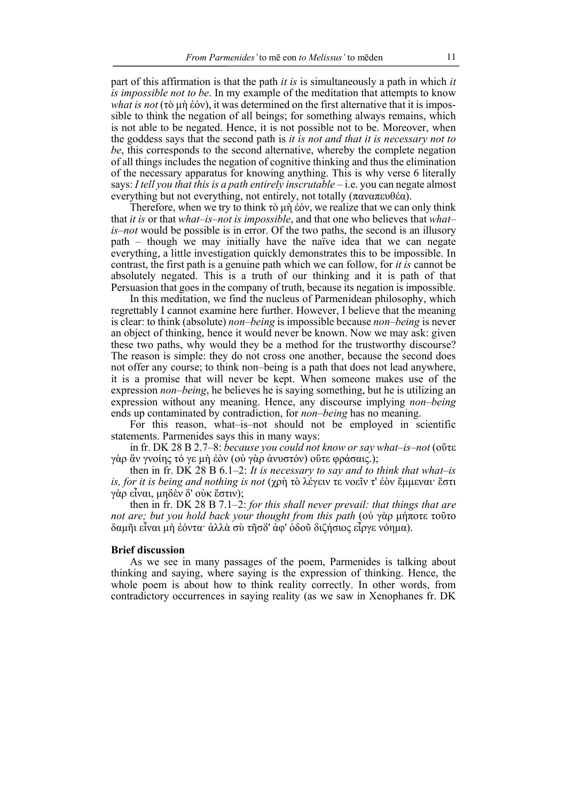part of this affirmation is that the path *it is* is simultaneously a path in which *it is impossible not to be*. In my example of the meditation that attempts to know *what is not* (τὸ μὴ ἐόν), it was determined on the first alternative that it is impossible to think the negation of all beings; for something always remains, which is not able to be negated. Hence, it is not possible not to be. Moreover, when the goddess says that the second path is *it is not and that it is necessary not to be*, this corresponds to the second alternative, whereby the complete negation of all things includes the negation of cognitive thinking and thus the elimination of the necessary apparatus for knowing anything. This is why verse 6 literally says: *I tell you that this is a path entirely inscrutable* – i.e. you can negate almost everything but not everything, not entirely, not totally (παναπευθέα).

Therefore, when we try to think τὸ µὴ ἐόν, we realize that we can only think that *it is* or that *what–is–not is impossible*, and that one who believes that *what– is–not* would be possible is in error. Of the two paths, the second is an illusory path – though we may initially have the naïve idea that we can negate everything, a little investigation quickly demonstrates this to be impossible. In contrast, the first path is a genuine path which we can follow, for *it is* cannot be absolutely negated. This is a truth of our thinking and it is path of that Persuasion that goes in the company of truth, because its negation is impossible.

In this meditation, we find the nucleus of Parmenidean philosophy, which regrettably I cannot examine here further. However, I believe that the meaning is clear: to think (absolute) *non–being* is impossible because *non–being* is never an object of thinking, hence it would never be known. Now we may ask: given these two paths, why would they be a method for the trustworthy discourse? The reason is simple: they do not cross one another, because the second does not offer any course; to think non–being is a path that does not lead anywhere, it is a promise that will never be kept. When someone makes use of the expression *non–being*, he believes he is saying something, but he is utilizing an expression without any meaning. Hence, any discourse implying *non–being* ends up contaminated by contradiction, for *non–being* has no meaning.

For this reason, what–is–not should not be employed in scientific statements. Parmenides says this in many ways:

in fr. DK 28 B 2.7–8: *because you could not know or say what–is–not* (οὔτε γὰρ ἂν γνοίης τό γε µὴ ἐὸν (οὐ γὰρ ἀνυστόν) οὔτε φράσαις.);

then in fr. DK 28 B 6.1–2: *It is necessary to say and to think that what–is is, for it is being and nothing is not* (χρὴ τὸ λέγειν τε νοεῖν τ' ἐὸν ἔµµεναι· ἔστι γὰρ εἶναι, µηδὲν δ' οὐκ ἔστιν);

then in fr. DK 28 B 7.1–2: *for this shall never prevail: that things that are not are; but you hold back your thought from this path* (οὐ γὰρ µήποτε τοῦτο δαµῆι εἶναι µὴ ἐόντα· ἀλλὰ σὺ τῆσδ' ἀφ' ὁδοῦ διζήσιος εἶργε νόηµα).

### **Brief discussion**

As we see in many passages of the poem, Parmenides is talking about thinking and saying, where saying is the expression of thinking. Hence, the whole poem is about how to think reality correctly. In other words, from contradictory occurrences in saying reality (as we saw in Xenophanes fr. DK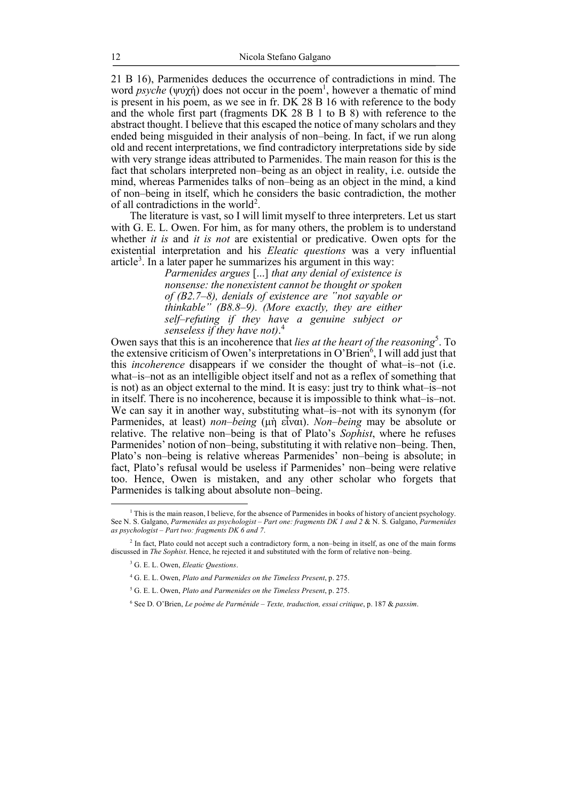21 B 16), Parmenides deduces the occurrence of contradictions in mind. The word *psyche* (ψυχή) does not occur in the poem<sup>1</sup>, however a thematic of mind is present in his poem, as we see in fr. DK 28 B 16 with reference to the body and the whole first part (fragments DK 28 B 1 to B 8) with reference to the abstract thought. I believe that this escaped the notice of many scholars and they ended being misguided in their analysis of non–being. In fact, if we run along old and recent interpretations, we find contradictory interpretations side by side with very strange ideas attributed to Parmenides. The main reason for this is the fact that scholars interpreted non–being as an object in reality, i.e. outside the mind, whereas Parmenides talks of non–being as an object in the mind, a kind of non–being in itself, which he considers the basic contradiction, the mother of all contradictions in the world<sup>2</sup>.

The literature is vast, so I will limit myself to three interpreters. Let us start with G. E. L. Owen. For him, as for many others, the problem is to understand whether *it is* and *it is not* are existential or predicative. Owen opts for the existential interpretation and his *Eleatic questions* was a very influential article<sup>3</sup>. In a later paper he summarizes his argument in this way:

> *Parmenides argues* [...] *that any denial of existence is nonsense: the nonexistent cannot be thought or spoken of (B2.7*–*8), denials of existence are "not sayable or thinkable" (B8.8*–*9). (More exactly, they are either self*–*refuting if they have a genuine subject or senseless if they have not)*. 4

Owen says that this is an incoherence that *lies at the heart of the reasoning*<sup>5</sup>. To the extensive criticism of Owen's interpretations in O'Brien<sup>6</sup>, I will add just that this *incoherence* disappears if we consider the thought of what–is–not (i.e. what–is–not as an intelligible object itself and not as a reflex of something that is not) as an object external to the mind. It is easy: just try to think what–is–not in itself. There is no incoherence, because it is impossible to think what–is–not. We can say it in another way, substituting what–is–not with its synonym (for Parmenides, at least) *non–being* (µὴ εἶναι). *Non–being* may be absolute or relative. The relative non–being is that of Plato's *Sophist*, where he refuses Parmenides' notion of non–being, substituting it with relative non–being. Then, Plato's non–being is relative whereas Parmenides' non–being is absolute; in fact, Plato's refusal would be useless if Parmenides' non–being were relative too. Hence, Owen is mistaken, and any other scholar who forgets that Parmenides is talking about absolute non–being.

<sup>&</sup>lt;sup>1</sup> This is the main reason, I believe, for the absence of Parmenides in books of history of ancient psychology. See N. S. Galgano, *Parmenides as psychologist – Part one: fragments DK 1 and 2* & N. S. Galgano, *Parmenides as psychologist – Part two: fragments DK 6 and 7*.

<sup>2</sup> In fact, Plato could not accept such a contradictory form, a non–being in itself, as one of the main forms discussed in *The Sophist*. Hence, he rejected it and substituted with the form of relative non–being.

<sup>3</sup> G. E. L. Owen, *Eleatic Questions*.

<sup>4</sup> G. E. L. Owen, *Plato and Parmenides on the Timeless Present*, p. 275.

<sup>5</sup> G. E. L. Owen, *Plato and Parmenides on the Timeless Present*, p. 275.

<sup>6</sup> See D. O'Brien, *Le poème de Parménide – Texte, traduction, essai critique*, p. 187 & *passim*.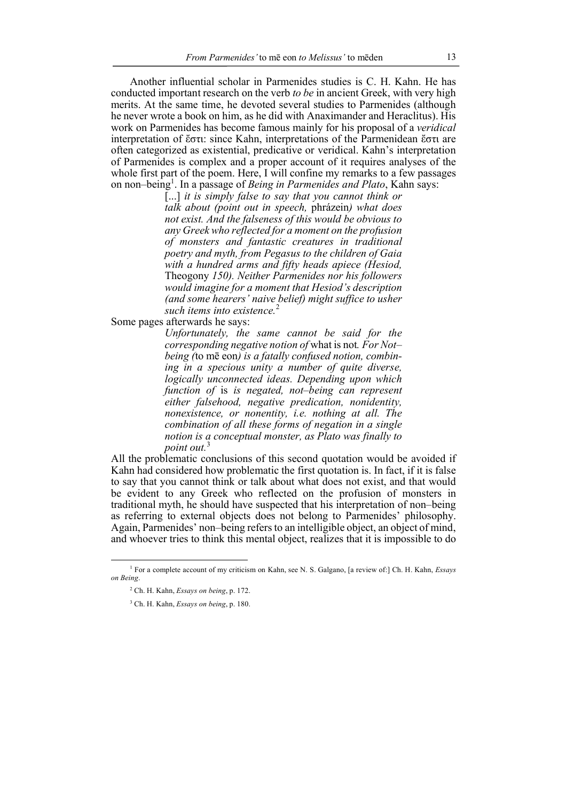Another influential scholar in Parmenides studies is C. H. Kahn. He has conducted important research on the verb *to be* in ancient Greek, with very high merits. At the same time, he devoted several studies to Parmenides (although he never wrote a book on him, as he did with Anaximander and Heraclitus). His work on Parmenides has become famous mainly for his proposal of a *veridical* interpretation of ἔστι: since Kahn, interpretations of the Parmenidean ἔστι are often categorized as existential, predicative or veridical. Kahn's interpretation of Parmenides is complex and a proper account of it requires analyses of the whole first part of the poem. Here, I will confine my remarks to a few passages on non–being<sup>1</sup> . In a passage of *Being in Parmenides and Plato*, Kahn says:

> [...] *it is simply false to say that you cannot think or talk about (point out in speech,* phrázein*) what does not exist. And the falseness of this would be obvious to any Greek who reflected for a moment on the profusion of monsters and fantastic creatures in traditional poetry and myth, from Pegasus to the children of Gaia with a hundred arms and fifty heads apiece (Hesiod,*  Theogony *150). Neither Parmenides nor his followers would imagine for a moment that Hesiod's description (and some hearers' naive belief) might suffice to usher such items into existence.*<sup>2</sup>

Some pages afterwards he says:

*Unfortunately, the same cannot be said for the corresponding negative notion of* what is not*. For Not– being (*to mē eon*) is a fatally confused notion, combining in a specious unity a number of quite diverse, logically unconnected ideas. Depending upon which function of* is *is negated, not–being can represent either falsehood, negative predication, nonidentity, nonexistence, or nonentity, i.e. nothing at all. The combination of all these forms of negation in a single notion is a conceptual monster, as Plato was finally to*  point out.<sup>3</sup>

All the problematic conclusions of this second quotation would be avoided if Kahn had considered how problematic the first quotation is. In fact, if it is false to say that you cannot think or talk about what does not exist, and that would be evident to any Greek who reflected on the profusion of monsters in traditional myth, he should have suspected that his interpretation of non–being as referring to external objects does not belong to Parmenides' philosophy. Again, Parmenides' non–being refers to an intelligible object, an object of mind, and whoever tries to think this mental object, realizes that it is impossible to do

 <sup>1</sup> For a complete account of my criticism on Kahn, see N. S. Galgano, [a review of:] Ch. H. Kahn, *Essays on Being*.

<sup>2</sup> Ch. H. Kahn, *Essays on being*, p. 172.

<sup>3</sup> Ch. H. Kahn, *Essays on being*, p. 180.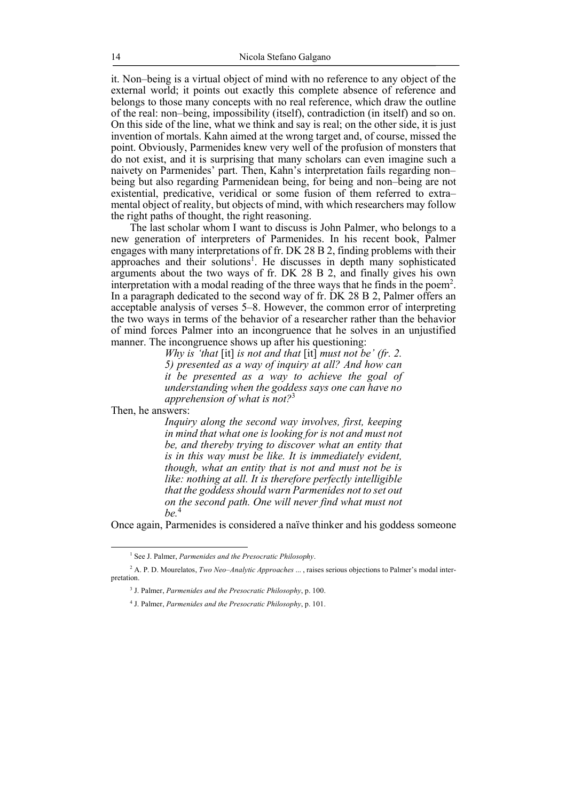it. Non–being is a virtual object of mind with no reference to any object of the external world; it points out exactly this complete absence of reference and belongs to those many concepts with no real reference, which draw the outline of the real: non–being, impossibility (itself), contradiction (in itself) and so on. On this side of the line, what we think and say is real; on the other side, it is just invention of mortals. Kahn aimed at the wrong target and, of course, missed the point. Obviously, Parmenides knew very well of the profusion of monsters that do not exist, and it is surprising that many scholars can even imagine such a naivety on Parmenides' part. Then, Kahn's interpretation fails regarding non– being but also regarding Parmenidean being, for being and non–being are not existential, predicative, veridical or some fusion of them referred to extra– mental object of reality, but objects of mind, with which researchers may follow the right paths of thought, the right reasoning.

The last scholar whom I want to discuss is John Palmer, who belongs to a new generation of interpreters of Parmenides. In his recent book, Palmer engages with many interpretations of fr. DK 28 B 2, finding problems with their approaches and their solutions<sup>1</sup>. He discusses in depth many sophisticated arguments about the two ways of fr. DK 28 B 2, and finally gives his own interpretation with a modal reading of the three ways that he finds in the poem2 . In a paragraph dedicated to the second way of fr. DK 28 B 2, Palmer offers an acceptable analysis of verses 5–8. However, the common error of interpreting the two ways in terms of the behavior of a researcher rather than the behavior of mind forces Palmer into an incongruence that he solves in an unjustified manner. The incongruence shows up after his questioning:

> *Why is 'that* [it] *is not and that* [it] *must not be' (fr. 2. 5) presented as a way of inquiry at all? And how can it be presented as a way to achieve the goal of understanding when the goddess says one can have no apprehension of what is not?*<sup>3</sup>

Then, he answers:

*Inquiry along the second way involves, first, keeping in mind that what one is looking for is not and must not be, and thereby trying to discover what an entity that is in this way must be like. It is immediately evident, though, what an entity that is not and must not be is like: nothing at all. It is therefore perfectly intelligible that the goddess should warn Parmenides not to set out on the second path. One will never find what must not be.*<sup>4</sup>

Once again, Parmenides is considered a naïve thinker and his goddess someone

 <sup>1</sup> See J. Palmer, *Parmenides and the Presocratic Philosophy*.

<sup>2</sup> A. P. D. Mourelatos, *Two Neo–Analytic Approaches* ... , raises serious objections to Palmer's modal interpretation.

<sup>3</sup> J. Palmer, *Parmenides and the Presocratic Philosophy*, p. 100.

<sup>4</sup> J. Palmer, *Parmenides and the Presocratic Philosophy*, p. 101.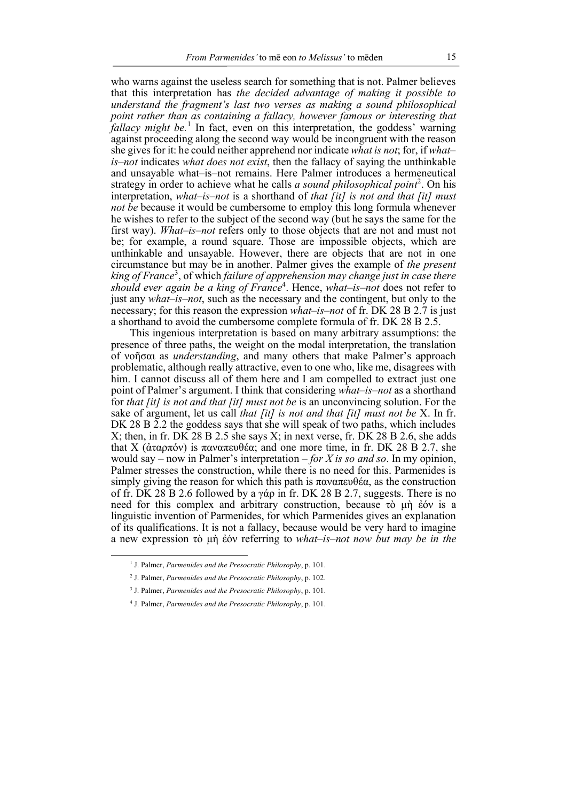who warns against the useless search for something that is not. Palmer believes that this interpretation has *the decided advantage of making it possible to understand the fragment's last two verses as making a sound philosophical point rather than as containing a fallacy, however famous or interesting that fallacy might be.*<sup>1</sup> In fact, even on this interpretation, the goddess' warning against proceeding along the second way would be incongruent with the reason she gives for it: he could neither apprehend nor indicate *what is not*; for, if *what– is–not* indicates *what does not exist*, then the fallacy of saying the unthinkable and unsayable what–is–not remains. Here Palmer introduces a hermeneutical strategy in order to achieve what he calls *a sound philosophical point*<sup>2</sup>. On his interpretation, *what–is–not* is a shorthand of *that [it] is not and that [it] must not be* because it would be cumbersome to employ this long formula whenever he wishes to refer to the subject of the second way (but he says the same for the first way). *What–is–not* refers only to those objects that are not and must not be; for example, a round square. Those are impossible objects, which are unthinkable and unsayable. However, there are objects that are not in one circumstance but may be in another. Palmer gives the example of *the present*  king of France<sup>3</sup>, of which failure of apprehension may change just in case there *should ever again be a king of France*<sup>4</sup> . Hence, *what–is–not* does not refer to just any *what–is–not*, such as the necessary and the contingent, but only to the necessary; for this reason the expression *what–is–not* of fr. DK 28 B 2.7 is just a shorthand to avoid the cumbersome complete formula of fr. DK 28 B 2.5.

This ingenious interpretation is based on many arbitrary assumptions: the presence of three paths, the weight on the modal interpretation, the translation of νοῆσαι as *understanding*, and many others that make Palmer's approach problematic, although really attractive, even to one who, like me, disagrees with him. I cannot discuss all of them here and I am compelled to extract just one point of Palmer's argument. I think that considering *what–is–not* as a shorthand for *that [it] is not and that [it] must not be* is an unconvincing solution. For the sake of argument, let us call *that [it] is not and that [it] must not be* X. In fr. DK 28 B 2.2 the goddess says that she will speak of two paths, which includes X; then, in fr. DK 28 B 2.5 she says X; in next verse, fr. DK 28 B 2.6, she adds that X (ἀταρπόν) is παναπευθέα; and one more time, in fr. DK 28 B 2.7, she would say – now in Palmer's interpretation – *for X is so and so*. In my opinion, Palmer stresses the construction, while there is no need for this. Parmenides is simply giving the reason for which this path is  $\pi \alpha \nu \alpha \pi \epsilon \nu \theta \epsilon \alpha$ , as the construction of fr. DK 28 B 2.6 followed by a γάρ in fr. DK 28 B 2.7, suggests. There is no need for this complex and arbitrary construction, because τὸ µὴ ἐόν is a linguistic invention of Parmenides, for which Parmenides gives an explanation of its qualifications. It is not a fallacy, because would be very hard to imagine a new expression τὸ µὴ ἐόν referring to *what–is–not now but may be in the* 

 <sup>1</sup> J. Palmer, *Parmenides and the Presocratic Philosophy*, p. 101.

<sup>2</sup> J. Palmer, *Parmenides and the Presocratic Philosophy*, p. 102.

<sup>3</sup> J. Palmer, *Parmenides and the Presocratic Philosophy*, p. 101.

<sup>4</sup> J. Palmer, *Parmenides and the Presocratic Philosophy*, p. 101.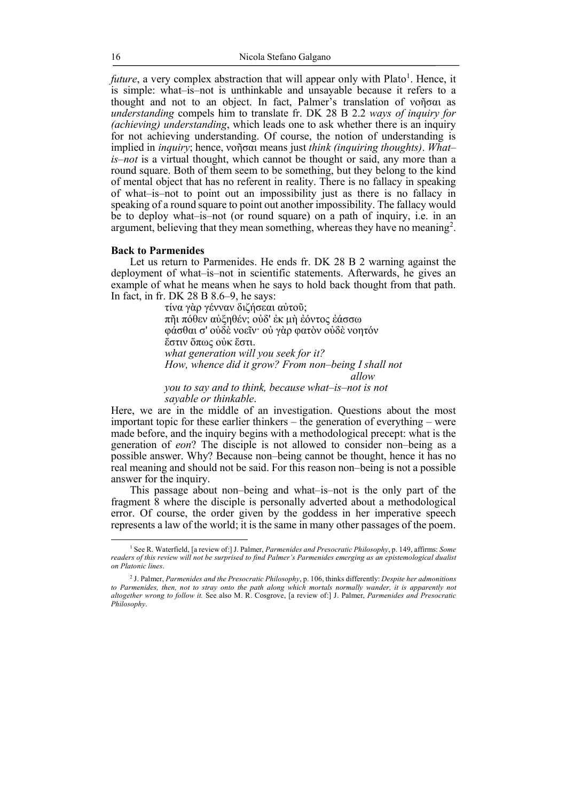*future*, a very complex abstraction that will appear only with Plato<sup>1</sup>. Hence, it is simple: what–is–not is unthinkable and unsayable because it refers to a thought and not to an object. In fact, Palmer's translation of νοῆσαι as *understanding* compels him to translate fr. DK 28 B 2.2 *ways of inquiry for (achieving) understanding*, which leads one to ask whether there is an inquiry for not achieving understanding. Of course, the notion of understanding is implied in *inquiry*; hence, νοῆσαι means just *think (inquiring thoughts)*. *What– is–not* is a virtual thought, which cannot be thought or said, any more than a round square. Both of them seem to be something, but they belong to the kind of mental object that has no referent in reality. There is no fallacy in speaking of what–is–not to point out an impossibility just as there is no fallacy in speaking of a round square to point out another impossibility. The fallacy would be to deploy what–is–not (or round square) on a path of inquiry, i.e. in an argument, believing that they mean something, whereas they have no meaning<sup>2</sup>.

### **Back to Parmenides**

Let us return to Parmenides. He ends fr. DK 28 B 2 warning against the deployment of what–is–not in scientific statements. Afterwards, he gives an example of what he means when he says to hold back thought from that path. In fact, in fr. DK 28 B 8.6–9, he says:

> τίνα γὰρ γένναν διζήσεαι αὐτοῦ; πῆι πόθεν αὐξηθέν; οὐδ' ἐκ µὴ ἐόντος ἐάσσω φάσθαι σ' οὐδὲ νοεῖν· οὐ γὰρ φατὸν οὐδὲ νοητόν ἔστιν ὅπως οὐκ ἔστι. *what generation will you seek for it? How, whence did it grow? From non*–*being I shall not allow*

*you to say and to think, because what*–*is*–*not is not sayable or thinkable*.

Here, we are in the middle of an investigation. Questions about the most important topic for these earlier thinkers – the generation of everything – were made before, and the inquiry begins with a methodological precept: what is the generation of *eon*? The disciple is not allowed to consider non–being as a possible answer. Why? Because non–being cannot be thought, hence it has no real meaning and should not be said. For this reason non–being is not a possible answer for the inquiry.

This passage about non–being and what–is–not is the only part of the fragment 8 where the disciple is personally adverted about a methodological error. Of course, the order given by the goddess in her imperative speech represents a law of the world; it is the same in many other passages of the poem.

 <sup>1</sup> See R. Waterfield, [a review of:] J. Palmer, *Parmenides and Presocratic Philosophy*, p. 149, affirms: *Some readers of this review will not be surprised to find Palmer's Parmenides emerging as an epistemological dualist on Platonic lines*.

<sup>2</sup> J. Palmer, *Parmenides and the Presocratic Philosophy*, p. 106, thinks differently: *Despite her admonitions*  to Parmenides, then, not to stray onto the path along which mortals normally wander, it is apparently not *altogether wrong to follow it.* See also M. R. Cosgrove, [a review of:] J. Palmer, *Parmenides and Presocratic Philosophy*.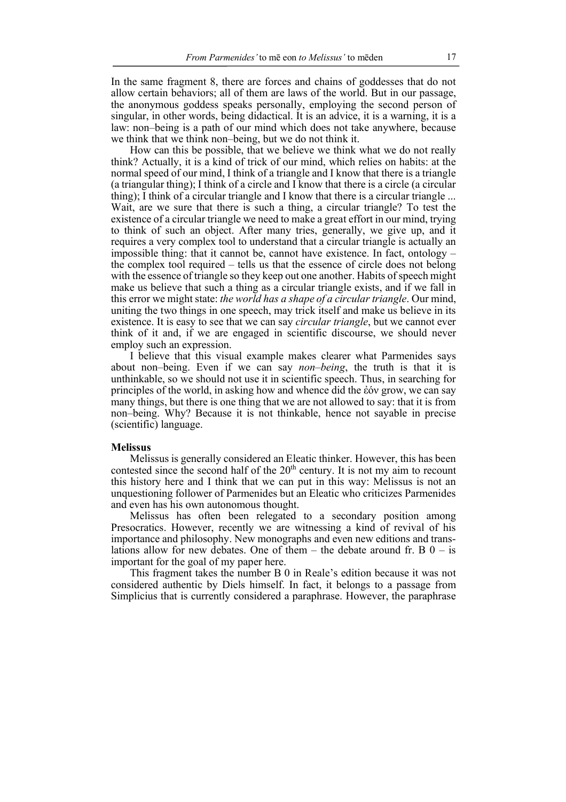In the same fragment 8, there are forces and chains of goddesses that do not allow certain behaviors; all of them are laws of the world. But in our passage, the anonymous goddess speaks personally, employing the second person of singular, in other words, being didactical. It is an advice, it is a warning, it is a law: non–being is a path of our mind which does not take anywhere, because we think that we think non–being, but we do not think it.

How can this be possible, that we believe we think what we do not really think? Actually, it is a kind of trick of our mind, which relies on habits: at the normal speed of our mind, I think of a triangle and I know that there is a triangle (a triangular thing); I think of a circle and I know that there is a circle (a circular thing); I think of a circular triangle and I know that there is a circular triangle ... Wait, are we sure that there is such a thing, a circular triangle? To test the existence of a circular triangle we need to make a great effort in our mind, trying to think of such an object. After many tries, generally, we give up, and it requires a very complex tool to understand that a circular triangle is actually an impossible thing: that it cannot be, cannot have existence. In fact, ontology – the complex tool required – tells us that the essence of circle does not belong with the essence of triangle so they keep out one another. Habits of speech might make us believe that such a thing as a circular triangle exists, and if we fall in this error we might state: *the world has a shape of a circular triangle*. Our mind, uniting the two things in one speech, may trick itself and make us believe in its existence. It is easy to see that we can say *circular triangle*, but we cannot ever think of it and, if we are engaged in scientific discourse, we should never employ such an expression.

I believe that this visual example makes clearer what Parmenides says about non–being. Even if we can say *non–being*, the truth is that it is unthinkable, so we should not use it in scientific speech. Thus, in searching for principles of the world, in asking how and whence did the ἐόν grow, we can say many things, but there is one thing that we are not allowed to say: that it is from non–being. Why? Because it is not thinkable, hence not sayable in precise (scientific) language.

#### **Melissus**

Melissus is generally considered an Eleatic thinker. However, this has been contested since the second half of the  $20<sup>th</sup>$  century. It is not my aim to recount this history here and I think that we can put in this way: Melissus is not an unquestioning follower of Parmenides but an Eleatic who criticizes Parmenides and even has his own autonomous thought.

Melissus has often been relegated to a secondary position among Presocratics. However, recently we are witnessing a kind of revival of his importance and philosophy. New monographs and even new editions and translations allow for new debates. One of them – the debate around fr. B  $0 -$  is important for the goal of my paper here.

This fragment takes the number B 0 in Reale's edition because it was not considered authentic by Diels himself. In fact, it belongs to a passage from Simplicius that is currently considered a paraphrase. However, the paraphrase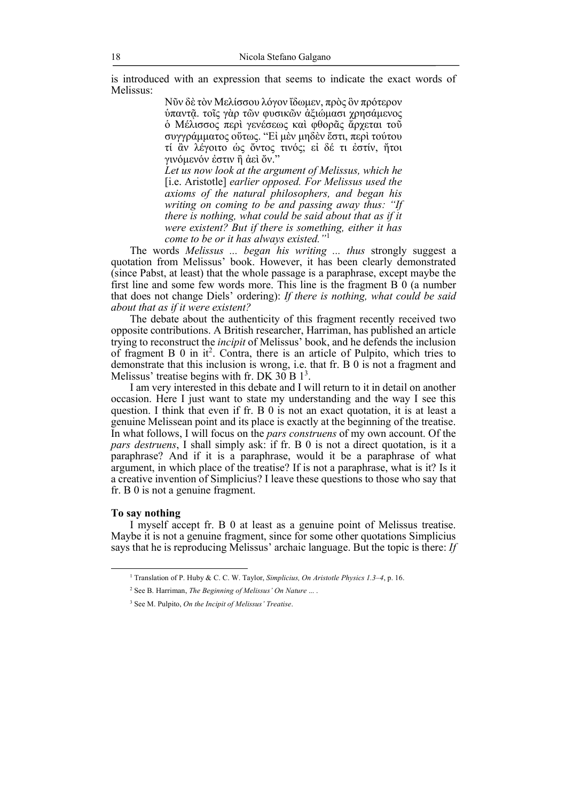is introduced with an expression that seems to indicate the exact words of Melissus:

> Νῦν δὲ τὸν Μελίσσου λόγον ἴδωµεν, πρὸς ὃν πρότερον ὑπαντᾷ. τοῖς γὰρ τῶν φυσικῶν ἀξιώµασι χρησάµενος ὁ Μέλισσος περὶ γενέσεως καὶ φθορᾶς ἄρχεται τοῦ συγγράµµατος οὕτως. "Εἰ µὲν µηδὲν ἔστι, περὶ τούτου τί ἂν λέγοιτο ὡς ὄντος τινός; εἰ δέ τι ἐστίν, ἤτοι γινόµενόν ἐστιν ἢ ἀεὶ ὄν."

> *Let us now look at the argument of Melissus, which he*  [i.e. Aristotle] *earlier opposed. For Melissus used the axioms of the natural philosophers, and began his writing on coming to be and passing away thus: "If there is nothing, what could be said about that as if it were existent? But if there is something, either it has come to be or it has always existed."*<sup>1</sup>

The words *Melissus ... began his writing ... thus* strongly suggest a quotation from Melissus' book. However, it has been clearly demonstrated (since Pabst, at least) that the whole passage is a paraphrase, except maybe the first line and some few words more. This line is the fragment B 0 (a number that does not change Diels' ordering): *If there is nothing, what could be said about that as if it were existent?*

The debate about the authenticity of this fragment recently received two opposite contributions. A British researcher, Harriman, has published an article trying to reconstruct the *incipit* of Melissus' book, and he defends the inclusion of fragment  $B_0$  in it<sup>2</sup>. Contra, there is an article of Pulpito, which tries to demonstrate that this inclusion is wrong, i.e. that fr. B 0 is not a fragment and Melissus' treatise begins with fr. DK  $30B1<sup>3</sup>$ .

I am very interested in this debate and I will return to it in detail on another occasion. Here I just want to state my understanding and the way I see this question. I think that even if fr. B 0 is not an exact quotation, it is at least a genuine Melissean point and its place is exactly at the beginning of the treatise. In what follows, I will focus on the *pars construens* of my own account. Of the *pars destruens*, I shall simply ask: if fr. B 0 is not a direct quotation, is it a paraphrase? And if it is a paraphrase, would it be a paraphrase of what argument, in which place of the treatise? If is not a paraphrase, what is it? Is it a creative invention of Simplicius? I leave these questions to those who say that fr. B 0 is not a genuine fragment.

#### **To say nothing**

I myself accept fr. B 0 at least as a genuine point of Melissus treatise. Maybe it is not a genuine fragment, since for some other quotations Simplicius says that he is reproducing Melissus' archaic language. But the topic is there: *If* 

 <sup>1</sup> Translation of P. Huby & C. C. W. Taylor, *Simplicius, On Aristotle Physics 1.3–4*, p. 16.

<sup>2</sup> See B. Harriman, *The Beginning of Melissus' On Nature* ... .

<sup>3</sup> See M. Pulpito, *On the Incipit of Melissus' Treatise*.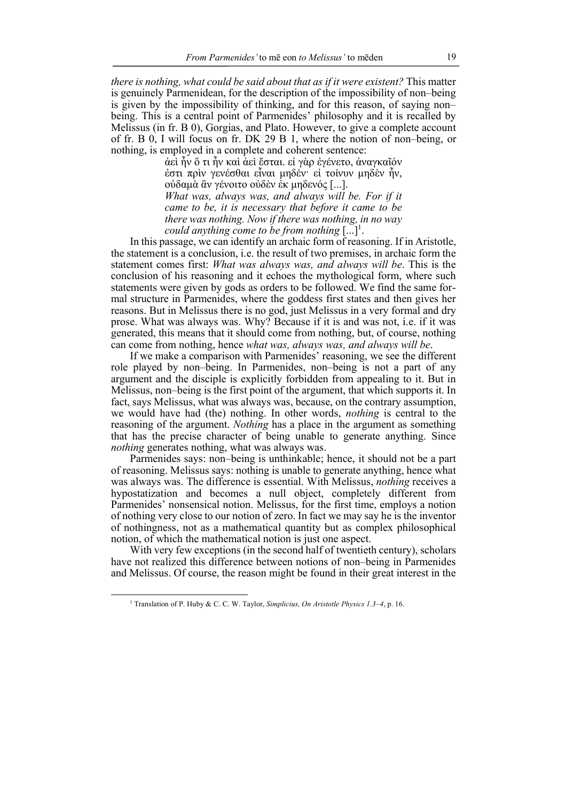*there is nothing, what could be said about that as if it were existent?* This matter is genuinely Parmenidean, for the description of the impossibility of non–being is given by the impossibility of thinking, and for this reason, of saying non– being. This is a central point of Parmenides' philosophy and it is recalled by Melissus (in fr. B 0), Gorgias, and Plato. However, to give a complete account of fr. B 0, I will focus on fr. DK 29 B 1, where the notion of non–being, or nothing, is employed in a complete and coherent sentence:

> ἀεὶ ἦν ὅ τι ἦν καὶ ἀεὶ ἔσται. εἰ γὰρ ἐγένετο, ἀναγκαῖόν ἐστι πρὶν γενέσθαι εἶναι µηδέν· εἰ τοίνυν µηδὲν ἦν, οὐδαµὰ ἂν γένοιτο οὐδὲν ἐκ µηδενός [...]. *What was, always was, and always will be. For if it came to be, it is necessary that before it came to be there was nothing. Now if there was nothing, in no way could anything come to be from nothing* [...] 1 .

In this passage, we can identify an archaic form of reasoning. If in Aristotle, the statement is a conclusion, i.e. the result of two premises, in archaic form the statement comes first: *What was always was, and always will be*. This is the conclusion of his reasoning and it echoes the mythological form, where such statements were given by gods as orders to be followed. We find the same formal structure in Parmenides, where the goddess first states and then gives her reasons. But in Melissus there is no god, just Melissus in a very formal and dry prose. What was always was. Why? Because if it is and was not, i.e. if it was generated, this means that it should come from nothing, but, of course, nothing can come from nothing, hence *what was, always was, and always will be*.

If we make a comparison with Parmenides' reasoning, we see the different role played by non–being. In Parmenides, non–being is not a part of any argument and the disciple is explicitly forbidden from appealing to it. But in Melissus, non–being is the first point of the argument, that which supports it. In fact, says Melissus, what was always was, because, on the contrary assumption, we would have had (the) nothing. In other words, *nothing* is central to the reasoning of the argument. *Nothing* has a place in the argument as something that has the precise character of being unable to generate anything. Since *nothing* generates nothing, what was always was.

Parmenides says: non–being is unthinkable; hence, it should not be a part of reasoning. Melissus says: nothing is unable to generate anything, hence what was always was. The difference is essential. With Melissus, *nothing* receives a hypostatization and becomes a null object, completely different from Parmenides' nonsensical notion. Melissus, for the first time, employs a notion of nothing very close to our notion of zero. In fact we may say he is the inventor of nothingness, not as a mathematical quantity but as complex philosophical notion, of which the mathematical notion is just one aspect.

With very few exceptions (in the second half of twentieth century), scholars have not realized this difference between notions of non–being in Parmenides and Melissus. Of course, the reason might be found in their great interest in the

 <sup>1</sup> Translation of P. Huby & C. C. W. Taylor, *Simplicius, On Aristotle Physics 1.3–4*, p. 16.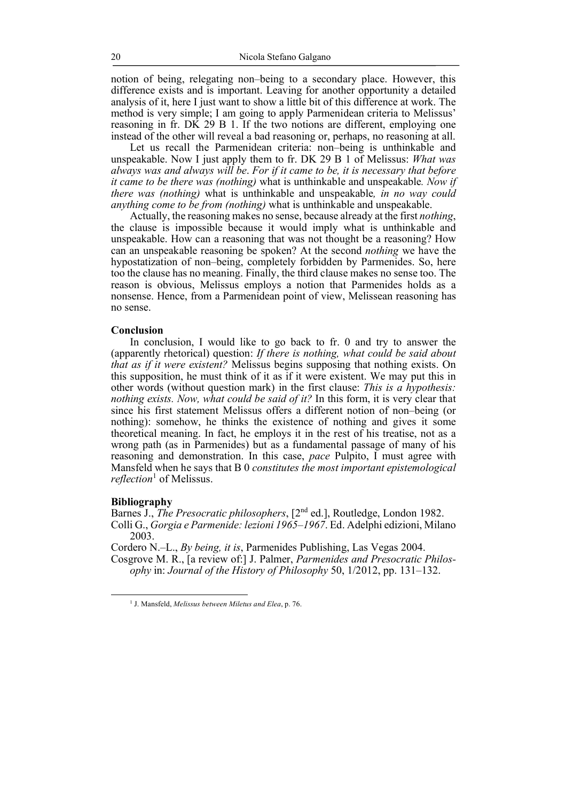notion of being, relegating non–being to a secondary place. However, this difference exists and is important. Leaving for another opportunity a detailed analysis of it, here I just want to show a little bit of this difference at work. The method is very simple; I am going to apply Parmenidean criteria to Melissus' reasoning in fr. DK 29 B 1. If the two notions are different, employing one instead of the other will reveal a bad reasoning or, perhaps, no reasoning at all.

Let us recall the Parmenidean criteria: non–being is unthinkable and unspeakable. Now I just apply them to fr. DK 29 B 1 of Melissus: *What was always was and always will be*. *For if it came to be, it is necessary that before it came to be there was (nothing)* what is unthinkable and unspeakable*. Now if there was (nothing)* what is unthinkable and unspeakable*, in no way could anything come to be from (nothing)* what is unthinkable and unspeakable.

Actually, the reasoning makes no sense, because already at the first *nothing*, the clause is impossible because it would imply what is unthinkable and unspeakable. How can a reasoning that was not thought be a reasoning? How can an unspeakable reasoning be spoken? At the second *nothing* we have the hypostatization of non–being, completely forbidden by Parmenides. So, here too the clause has no meaning. Finally, the third clause makes no sense too. The reason is obvious, Melissus employs a notion that Parmenides holds as a nonsense. Hence, from a Parmenidean point of view, Melissean reasoning has no sense.

#### **Conclusion**

In conclusion, I would like to go back to fr. 0 and try to answer the (apparently rhetorical) question: *If there is nothing, what could be said about that as if it were existent?* Melissus begins supposing that nothing exists. On this supposition, he must think of it as if it were existent. We may put this in other words (without question mark) in the first clause: *This is a hypothesis: nothing exists. Now, what could be said of it?* In this form, it is very clear that since his first statement Melissus offers a different notion of non–being (or nothing): somehow, he thinks the existence of nothing and gives it some theoretical meaning. In fact, he employs it in the rest of his treatise, not as a wrong path (as in Parmenides) but as a fundamental passage of many of his reasoning and demonstration. In this case, *pace* Pulpito, I must agree with Mansfeld when he says that B 0 *constitutes the most important epistemological reflection*<sup>1</sup> of Melissus.

#### **Bibliography**

Barnes J., *The Presocratic philosophers*, [2<sup>nd</sup> ed.], Routledge, London 1982. Colli G., *Gorgia e Parmenide: lezioni 1965–1967*. Ed. Adelphi edizioni, Milano 2003.

Cordero N.–L., *By being, it is*, Parmenides Publishing, Las Vegas 2004.

Cosgrove M. R., [a review of:] J. Palmer, *Parmenides and Presocratic Philosophy* in: *Journal of the History of Philosophy* 50, 1/2012, pp. 131–132.

 <sup>1</sup> J. Mansfeld, *Melissus between Miletus and Elea*, p. 76.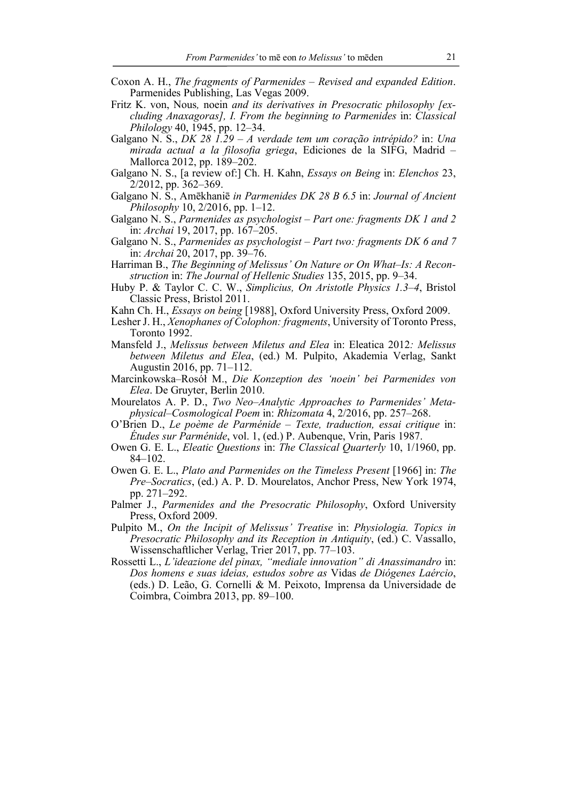- Coxon A. H., *The fragments of Parmenides – Revised and expanded Edition*. Parmenides Publishing, Las Vegas 2009.
- Fritz K. von, Nous*,* noein *and its derivatives in Presocratic philosophy [excluding Anaxagoras], I. From the beginning to Parmenides* in: *Classical Philology* 40, 1945, pp. 12–34.
- Galgano N. S., *DK 28 1.29 – A verdade tem um coração intrépido?* in: *Una mirada actual a la filosofia griega*, Ediciones de la SIFG, Madrid – Mallorca 2012, pp. 189–202.
- Galgano N. S., [a review of:] Ch. H. Kahn, *Essays on Being* in: *Elenchos* 23, 2/2012, pp. 362–369.
- Galgano N. S., Amēkhaniē *in Parmenides DK 28 B 6.5* in: *Journal of Ancient Philosophy* 10, 2/2016, pp. 1–12.
- Galgano N. S., *Parmenides as psychologist – Part one: fragments DK 1 and 2* in: *Archai* 19, 2017, pp. 167–205.
- Galgano N. S., *Parmenides as psychologist – Part two: fragments DK 6 and 7* in: *Archai* 20, 2017, pp. 39–76.
- Harriman B., *The Beginning of Melissus' On Nature or On What–Is: A Reconstruction* in: *The Journal of Hellenic Studies* 135, 2015, pp. 9–34.
- Huby P. & Taylor C. C. W., *Simplicius, On Aristotle Physics 1.3–4*, Bristol Classic Press, Bristol 2011.
- Kahn Ch. H., *Essays on being* [1988], Oxford University Press, Oxford 2009.
- Lesher J. H., *Xenophanes of Colophon: fragments*, University of Toronto Press, Toronto 1992.
- Mansfeld J., *Melissus between Miletus and Elea* in: Eleatica 2012*: Melissus between Miletus and Elea*, (ed.) M. Pulpito, Akademia Verlag, Sankt Augustin 2016, pp. 71–112.
- Marcinkowska–Rosół M., *Die Konzeption des 'noein' bei Parmenides von Elea*. De Gruyter, Berlin 2010.
- Mourelatos A. P. D., *Two Neo*–*Analytic Approaches to Parmenides' Metaphysical*–*Cosmological Poem* in: *Rhizomata* 4, 2/2016, pp. 257–268.
- O'Brien D., *Le poème de Parménide – Texte, traduction, essai critique* in: *Études sur Parménide*, vol. 1, (ed.) P. Aubenque, Vrin, Paris 1987.
- Owen G. E. L., *Eleatic Questions* in: *The Classical Quarterly* 10, 1/1960, pp. 84–102.
- Owen G. E. L., *Plato and Parmenides on the Timeless Present* [1966] in: *The Pre*–*Socratics*, (ed.) A. P. D. Mourelatos, Anchor Press, New York 1974, pp. 271–292.
- Palmer J., *Parmenides and the Presocratic Philosophy*, Oxford University Press, Oxford 2009.
- Pulpito M., *On the Incipit of Melissus' Treatise* in: *Physiologia. Topics in Presocratic Philosophy and its Reception in Antiquity*, (ed.) C. Vassallo, Wissenschaftlicher Verlag, Trier 2017, pp. 77–103.
- Rossetti L., *L'ideazione del pinax, "mediale innovation" di Anassimandro* in: *Dos homens e suas ideias, estudos sobre as* Vidas *de Diógenes Laércio*, (eds.) D. Leão, G. Cornelli & M. Peixoto, Imprensa da Universidade de Coimbra, Coimbra 2013, pp. 89–100.